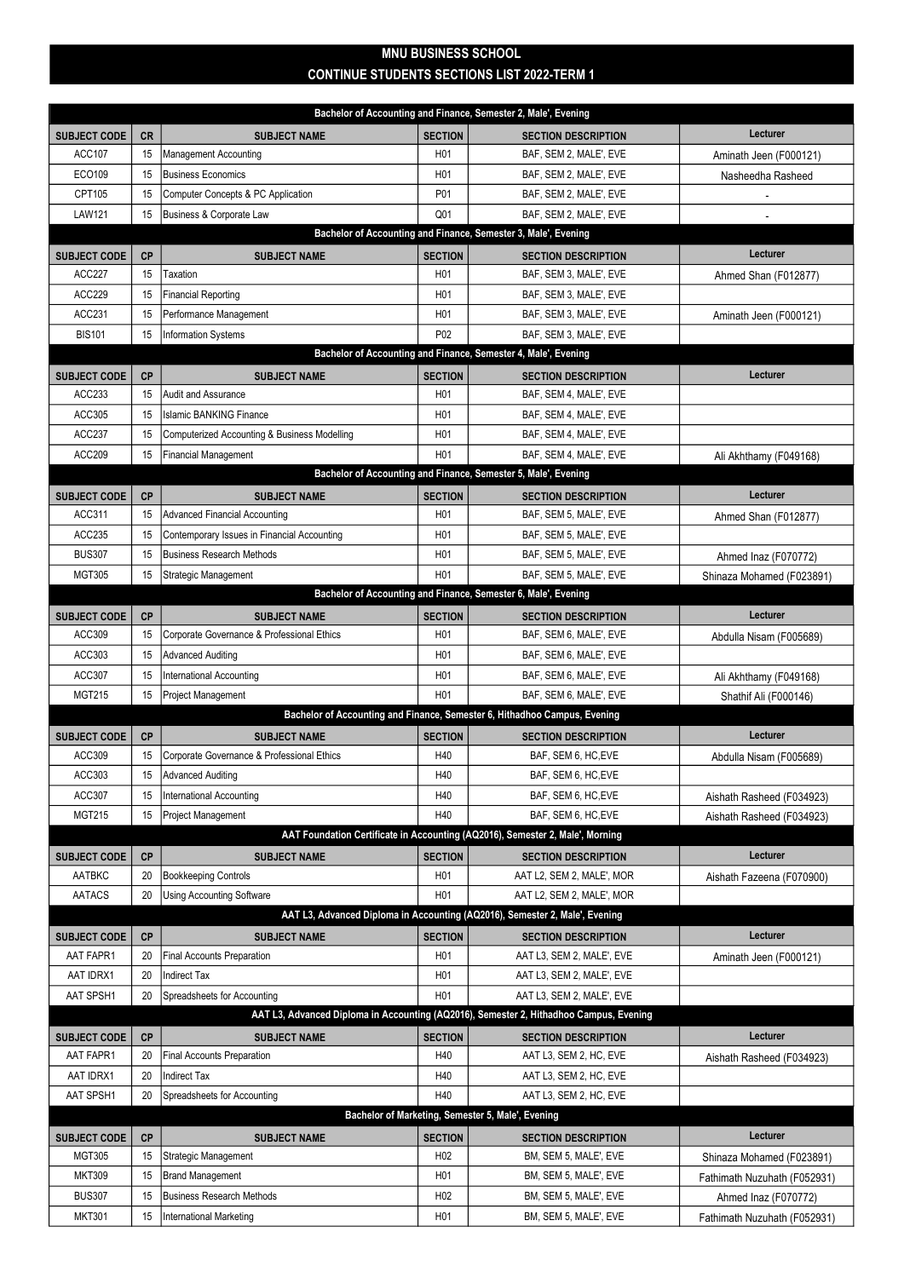## MNU BUSINESS SCHOOL CONTINUE STUDENTS SECTIONS LIST 2022-TERM 1

|                                                                |           |                                              |                  | Bachelor of Accounting and Finance, Semester 2, Male', Evening                         |                              |  |  |  |  |
|----------------------------------------------------------------|-----------|----------------------------------------------|------------------|----------------------------------------------------------------------------------------|------------------------------|--|--|--|--|
| <b>SUBJECT CODE</b>                                            | <b>CR</b> | <b>SUBJECT NAME</b>                          | <b>SECTION</b>   | <b>SECTION DESCRIPTION</b>                                                             | Lecturer                     |  |  |  |  |
| <b>ACC107</b>                                                  | 15        | <b>Management Accounting</b>                 | H <sub>0</sub> 1 | BAF, SEM 2, MALE', EVE                                                                 | Aminath Jeen (F000121)       |  |  |  |  |
| ECO109                                                         | 15        | Business Economics                           | H <sub>0</sub> 1 | BAF, SEM 2, MALE', EVE                                                                 | Nasheedha Rasheed            |  |  |  |  |
| CPT105                                                         | 15        | Computer Concepts & PC Application           | P01              | BAF, SEM 2, MALE', EVE                                                                 |                              |  |  |  |  |
| <b>LAW121</b>                                                  | 15        | Business & Corporate Law                     | Q <sub>01</sub>  | BAF, SEM 2, MALE', EVE                                                                 |                              |  |  |  |  |
| Bachelor of Accounting and Finance, Semester 3, Male', Evening |           |                                              |                  |                                                                                        |                              |  |  |  |  |
| <b>SUBJECT CODE</b>                                            | <b>CP</b> | <b>SUBJECT NAME</b>                          | <b>SECTION</b>   | <b>SECTION DESCRIPTION</b>                                                             | Lecturer                     |  |  |  |  |
| <b>ACC227</b>                                                  | 15        | Taxation                                     | H <sub>0</sub> 1 | BAF, SEM 3, MALE', EVE                                                                 | Ahmed Shan (F012877)         |  |  |  |  |
| ACC229                                                         | 15        | <b>Financial Reporting</b>                   | H <sub>0</sub> 1 | BAF, SEM 3, MALE', EVE                                                                 |                              |  |  |  |  |
| ACC231                                                         | 15        | Performance Management                       | H <sub>0</sub> 1 | BAF, SEM 3, MALE', EVE                                                                 | Aminath Jeen (F000121)       |  |  |  |  |
| <b>BIS101</b>                                                  | 15        | <b>Information Systems</b>                   | P <sub>0</sub> 2 | BAF, SEM 3, MALE', EVE                                                                 |                              |  |  |  |  |
|                                                                |           |                                              |                  | Bachelor of Accounting and Finance, Semester 4, Male', Evening                         |                              |  |  |  |  |
| <b>SUBJECT CODE</b>                                            | <b>CP</b> | <b>SUBJECT NAME</b>                          | <b>SECTION</b>   | <b>SECTION DESCRIPTION</b>                                                             | Lecturer                     |  |  |  |  |
| ACC233                                                         | 15        | Audit and Assurance                          | H <sub>0</sub> 1 | BAF, SEM 4, MALE', EVE                                                                 |                              |  |  |  |  |
| ACC305                                                         | 15        | <b>Islamic BANKING Finance</b>               | H <sub>0</sub> 1 | BAF, SEM 4, MALE', EVE                                                                 |                              |  |  |  |  |
| <b>ACC237</b>                                                  | 15        | Computerized Accounting & Business Modelling | H <sub>0</sub> 1 | BAF, SEM 4, MALE', EVE                                                                 |                              |  |  |  |  |
| <b>ACC209</b>                                                  | 15        | Financial Management                         | H <sub>0</sub> 1 | BAF, SEM 4, MALE', EVE                                                                 | Ali Akhthamy (F049168)       |  |  |  |  |
|                                                                |           |                                              |                  | Bachelor of Accounting and Finance, Semester 5, Male', Evening                         |                              |  |  |  |  |
| <b>SUBJECT CODE</b>                                            | <b>CP</b> | <b>SUBJECT NAME</b>                          | <b>SECTION</b>   | <b>SECTION DESCRIPTION</b>                                                             | Lecturer                     |  |  |  |  |
| ACC311                                                         | 15        | <b>Advanced Financial Accounting</b>         | H <sub>0</sub> 1 | BAF, SEM 5, MALE', EVE                                                                 | Ahmed Shan (F012877)         |  |  |  |  |
| ACC235                                                         | 15        | Contemporary Issues in Financial Accounting  | H <sub>01</sub>  | BAF, SEM 5, MALE', EVE                                                                 |                              |  |  |  |  |
| <b>BUS307</b>                                                  | 15        | Business Research Methods                    | H <sub>0</sub> 1 | BAF, SEM 5, MALE', EVE                                                                 | Ahmed Inaz (F070772)         |  |  |  |  |
| <b>MGT305</b>                                                  | 15        | Strategic Management                         | H <sub>0</sub> 1 | BAF, SEM 5, MALE', EVE                                                                 | Shinaza Mohamed (F023891)    |  |  |  |  |
|                                                                |           |                                              |                  | Bachelor of Accounting and Finance, Semester 6, Male', Evening                         |                              |  |  |  |  |
| <b>SUBJECT CODE</b>                                            | <b>CP</b> | <b>SUBJECT NAME</b>                          | <b>SECTION</b>   | <b>SECTION DESCRIPTION</b>                                                             | Lecturer                     |  |  |  |  |
| ACC309                                                         | 15        | Corporate Governance & Professional Ethics   | H <sub>0</sub> 1 | BAF, SEM 6, MALE', EVE                                                                 | Abdulla Nisam (F005689)      |  |  |  |  |
| ACC303                                                         | 15        | <b>Advanced Auditing</b>                     | H <sub>0</sub> 1 | BAF, SEM 6, MALE', EVE                                                                 |                              |  |  |  |  |
| ACC307                                                         | 15        | <b>International Accounting</b>              | H <sub>0</sub> 1 | BAF, SEM 6, MALE', EVE                                                                 | Ali Akhthamy (F049168)       |  |  |  |  |
| <b>MGT215</b>                                                  | 15        | Project Management                           | H <sub>0</sub> 1 | BAF, SEM 6, MALE', EVE                                                                 | Shathif Ali (F000146)        |  |  |  |  |
|                                                                |           |                                              |                  | Bachelor of Accounting and Finance, Semester 6, Hithadhoo Campus, Evening              |                              |  |  |  |  |
| <b>SUBJECT CODE</b>                                            | <b>CP</b> | <b>SUBJECT NAME</b>                          | <b>SECTION</b>   | <b>SECTION DESCRIPTION</b>                                                             | Lecturer                     |  |  |  |  |
| ACC309                                                         | 15        | Corporate Governance & Professional Ethics   | H40              | BAF, SEM 6, HC, EVE                                                                    | Abdulla Nisam (F005689)      |  |  |  |  |
| ACC303                                                         | 15        | <b>Advanced Auditing</b>                     | H40              | BAF, SEM 6, HC, EVE                                                                    |                              |  |  |  |  |
| ACC307                                                         | 15        | International Accounting                     | H40              | BAF, SEM 6, HC, EVE                                                                    | Aishath Rasheed (F034923)    |  |  |  |  |
| <b>MGT215</b>                                                  | 15        | Project Management                           | H40              | BAF, SEM 6, HC, EVE                                                                    | Aishath Rasheed (F034923)    |  |  |  |  |
|                                                                |           |                                              |                  | AAT Foundation Certificate in Accounting (AQ2016), Semester 2, Male', Morning          |                              |  |  |  |  |
| <b>SUBJECT CODE</b>                                            | <b>CP</b> | <b>SUBJECT NAME</b>                          | <b>SECTION</b>   | <b>SECTION DESCRIPTION</b>                                                             | Lecturer                     |  |  |  |  |
| AATBKC                                                         | 20        | <b>Bookkeeping Controls</b>                  | H <sub>0</sub> 1 | AAT L2, SEM 2, MALE', MOR                                                              | Aishath Fazeena (F070900)    |  |  |  |  |
| AATACS                                                         | 20        | <b>Using Accounting Software</b>             | H <sub>0</sub> 1 | AAT L2, SEM 2, MALE', MOR                                                              |                              |  |  |  |  |
|                                                                |           |                                              |                  | AAT L3, Advanced Diploma in Accounting (AQ2016), Semester 2, Male', Evening            |                              |  |  |  |  |
| <b>SUBJECT CODE</b>                                            | <b>CP</b> | <b>SUBJECT NAME</b>                          | <b>SECTION</b>   | <b>SECTION DESCRIPTION</b>                                                             | Lecturer                     |  |  |  |  |
| AAT FAPR1                                                      | 20        | <b>Final Accounts Preparation</b>            | H <sub>0</sub> 1 | AAT L3, SEM 2, MALE', EVE                                                              | Aminath Jeen (F000121)       |  |  |  |  |
| AAT IDRX1                                                      | 20        | <b>Indirect Tax</b>                          | H <sub>0</sub> 1 | AAT L3, SEM 2, MALE', EVE                                                              |                              |  |  |  |  |
| AAT SPSH1                                                      | 20        | Spreadsheets for Accounting                  | H <sub>01</sub>  | AAT L3, SEM 2, MALE', EVE                                                              |                              |  |  |  |  |
|                                                                |           |                                              |                  | AAT L3, Advanced Diploma in Accounting (AQ2016), Semester 2, Hithadhoo Campus, Evening |                              |  |  |  |  |
| <b>SUBJECT CODE</b>                                            | <b>CP</b> | <b>SUBJECT NAME</b>                          | <b>SECTION</b>   | <b>SECTION DESCRIPTION</b>                                                             | Lecturer                     |  |  |  |  |
| AAT FAPR1                                                      | 20        | <b>Final Accounts Preparation</b>            | H40              | AAT L3, SEM 2, HC, EVE                                                                 | Aishath Rasheed (F034923)    |  |  |  |  |
| AAT IDRX1                                                      | 20        | <b>Indirect Tax</b>                          | H40              | AAT L3, SEM 2, HC, EVE                                                                 |                              |  |  |  |  |
| AAT SPSH1                                                      | 20        | Spreadsheets for Accounting                  | H40              | AAT L3, SEM 2, HC, EVE                                                                 |                              |  |  |  |  |
| Bachelor of Marketing, Semester 5, Male', Evening              |           |                                              |                  |                                                                                        |                              |  |  |  |  |
| <b>SUBJECT CODE</b>                                            | CP        | <b>SUBJECT NAME</b>                          | <b>SECTION</b>   | <b>SECTION DESCRIPTION</b>                                                             | Lecturer                     |  |  |  |  |
| <b>MGT305</b>                                                  | 15        | Strategic Management                         | H <sub>02</sub>  | BM, SEM 5, MALE', EVE                                                                  | Shinaza Mohamed (F023891)    |  |  |  |  |
| <b>MKT309</b>                                                  | 15        | <b>Brand Management</b>                      | H <sub>01</sub>  | BM, SEM 5, MALE', EVE                                                                  | Fathimath Nuzuhath (F052931) |  |  |  |  |
| <b>BUS307</b>                                                  | 15        | <b>Business Research Methods</b>             | H <sub>02</sub>  | BM, SEM 5, MALE', EVE                                                                  | Ahmed Inaz (F070772)         |  |  |  |  |
| <b>MKT301</b>                                                  | 15        | International Marketing                      | H <sub>0</sub> 1 | BM, SEM 5, MALE', EVE                                                                  | Fathimath Nuzuhath (F052931) |  |  |  |  |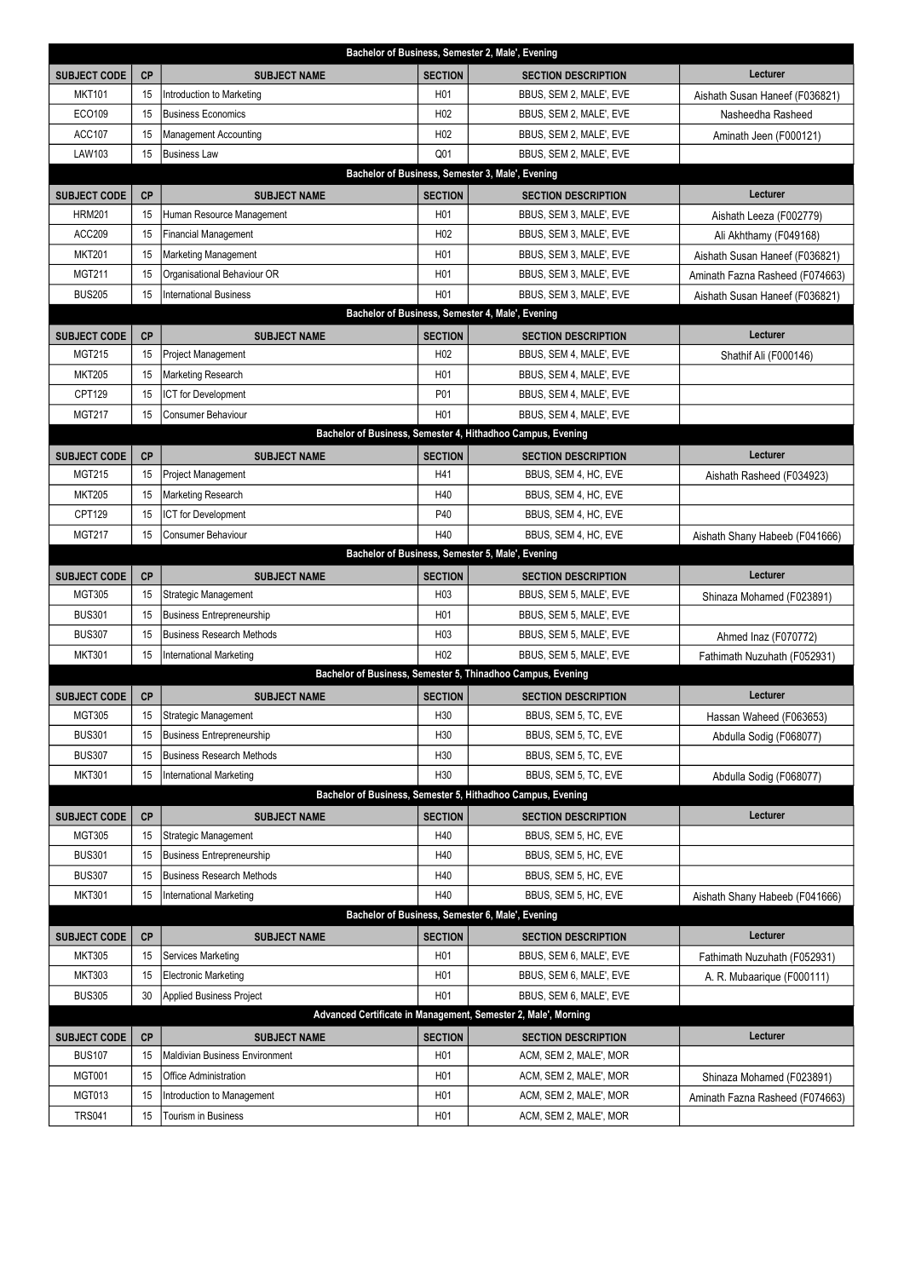|                                                             |           |                                       |                  | Bachelor of Business, Semester 2, Male', Evening               |                                 |  |  |  |
|-------------------------------------------------------------|-----------|---------------------------------------|------------------|----------------------------------------------------------------|---------------------------------|--|--|--|
| <b>SUBJECT CODE</b>                                         | <b>CP</b> | <b>SUBJECT NAME</b>                   | <b>SECTION</b>   | <b>SECTION DESCRIPTION</b>                                     | Lecturer                        |  |  |  |
| <b>MKT101</b>                                               | 15        | Introduction to Marketing             | H <sub>0</sub> 1 | BBUS, SEM 2, MALE', EVE                                        | Aishath Susan Haneef (F036821)  |  |  |  |
| ECO109                                                      | 15        | <b>Business Economics</b>             | H <sub>02</sub>  | BBUS, SEM 2, MALE', EVE                                        | Nasheedha Rasheed               |  |  |  |
| <b>ACC107</b>                                               | 15        | <b>Management Accounting</b>          | H <sub>02</sub>  | BBUS, SEM 2, MALE', EVE                                        | Aminath Jeen (F000121)          |  |  |  |
| LAW103                                                      | 15        | <b>Business Law</b>                   | Q <sub>01</sub>  | BBUS, SEM 2, MALE', EVE                                        |                                 |  |  |  |
| Bachelor of Business, Semester 3, Male', Evening            |           |                                       |                  |                                                                |                                 |  |  |  |
| <b>SUBJECT CODE</b>                                         | <b>CP</b> | <b>SUBJECT NAME</b>                   | <b>SECTION</b>   | <b>SECTION DESCRIPTION</b>                                     | Lecturer                        |  |  |  |
| <b>HRM201</b>                                               | 15        | Human Resource Management             | H <sub>0</sub> 1 | BBUS, SEM 3, MALE', EVE                                        | Aishath Leeza (F002779)         |  |  |  |
| <b>ACC209</b>                                               | 15        | <b>Financial Management</b>           | H <sub>02</sub>  | BBUS, SEM 3, MALE', EVE                                        | Ali Akhthamy (F049168)          |  |  |  |
| <b>MKT201</b>                                               | 15        | Marketing Management                  | H <sub>0</sub> 1 | BBUS, SEM 3, MALE', EVE                                        | Aishath Susan Haneef (F036821)  |  |  |  |
| <b>MGT211</b>                                               | 15        | Organisational Behaviour OR           | H <sub>0</sub> 1 | BBUS, SEM 3, MALE', EVE                                        | Aminath Fazna Rasheed (F074663) |  |  |  |
| <b>BUS205</b>                                               | 15        | <b>International Business</b>         | H <sub>0</sub> 1 | BBUS, SEM 3, MALE', EVE                                        | Aishath Susan Haneef (F036821)  |  |  |  |
|                                                             |           |                                       |                  | Bachelor of Business, Semester 4, Male', Evening               |                                 |  |  |  |
| <b>SUBJECT CODE</b>                                         | <b>CP</b> | <b>SUBJECT NAME</b>                   | <b>SECTION</b>   | <b>SECTION DESCRIPTION</b>                                     | Lecturer                        |  |  |  |
| <b>MGT215</b>                                               | 15        | <b>Project Management</b>             | H <sub>02</sub>  | BBUS, SEM 4, MALE', EVE                                        | Shathif Ali (F000146)           |  |  |  |
| <b>MKT205</b>                                               | 15        | Marketing Research                    | H <sub>0</sub> 1 | BBUS, SEM 4, MALE', EVE                                        |                                 |  |  |  |
| CPT129                                                      | 15        | <b>ICT</b> for Development            | P01              | BBUS, SEM 4, MALE', EVE                                        |                                 |  |  |  |
| <b>MGT217</b>                                               | 15        | Consumer Behaviour                    | H <sub>01</sub>  | BBUS, SEM 4, MALE', EVE                                        |                                 |  |  |  |
|                                                             |           |                                       |                  | Bachelor of Business, Semester 4, Hithadhoo Campus, Evening    |                                 |  |  |  |
| <b>SUBJECT CODE</b>                                         | <b>CP</b> | <b>SUBJECT NAME</b>                   | <b>SECTION</b>   | <b>SECTION DESCRIPTION</b>                                     | Lecturer                        |  |  |  |
| <b>MGT215</b>                                               | 15        | Project Management                    | H41              | BBUS, SEM 4, HC, EVE                                           |                                 |  |  |  |
| <b>MKT205</b>                                               | 15        | Marketing Research                    | H40              | BBUS, SEM 4, HC, EVE                                           | Aishath Rasheed (F034923)       |  |  |  |
| CPT129                                                      | 15        | ICT for Development                   | P40              | BBUS, SEM 4, HC, EVE                                           |                                 |  |  |  |
| <b>MGT217</b>                                               | 15        | Consumer Behaviour                    | H40              | BBUS, SEM 4, HC, EVE                                           |                                 |  |  |  |
|                                                             |           |                                       |                  | Bachelor of Business, Semester 5, Male', Evening               | Aishath Shany Habeeb (F041666)  |  |  |  |
|                                                             |           |                                       |                  |                                                                |                                 |  |  |  |
| <b>SUBJECT CODE</b>                                         | <b>CP</b> | <b>SUBJECT NAME</b>                   | <b>SECTION</b>   | <b>SECTION DESCRIPTION</b>                                     | Lecturer                        |  |  |  |
| <b>MGT305</b>                                               | 15        | Strategic Management                  | H <sub>0</sub> 3 | BBUS, SEM 5, MALE', EVE                                        | Shinaza Mohamed (F023891)       |  |  |  |
| <b>BUS301</b>                                               | 15        | <b>Business Entrepreneurship</b>      | H <sub>0</sub> 1 | BBUS, SEM 5, MALE', EVE                                        |                                 |  |  |  |
| <b>BUS307</b>                                               | 15        | <b>Business Research Methods</b>      | H <sub>0</sub> 3 | BBUS, SEM 5, MALE', EVE                                        | Ahmed Inaz (F070772)            |  |  |  |
| <b>MKT301</b>                                               | 15        | <b>International Marketing</b>        | H <sub>02</sub>  | BBUS, SEM 5, MALE', EVE                                        | Fathimath Nuzuhath (F052931)    |  |  |  |
|                                                             |           |                                       |                  | Bachelor of Business, Semester 5, Thinadhoo Campus, Evening    |                                 |  |  |  |
| <b>SUBJECT CODE</b>                                         | <b>CP</b> | <b>SUBJECT NAME</b>                   | <b>SECTION</b>   | <b>SECTION DESCRIPTION</b>                                     | Lecturer                        |  |  |  |
| <b>MGT305</b>                                               | 15        | Strategic Management                  | H <sub>30</sub>  | BBUS, SEM 5, TC, EVE                                           | Hassan Waheed (F063653)         |  |  |  |
| <b>BUS301</b>                                               | 15        | <b>Business Entrepreneurship</b>      | H <sub>30</sub>  | BBUS, SEM 5, TC, EVE                                           | Abdulla Sodig (F068077)         |  |  |  |
| <b>BUS307</b>                                               | 15        | <b>Business Research Methods</b>      | H30              | BBUS, SEM 5, TC, EVE                                           |                                 |  |  |  |
| <b>MKT301</b>                                               | 15        | <b>International Marketing</b>        | H <sub>30</sub>  | BBUS, SEM 5, TC, EVE                                           | Abdulla Sodig (F068077)         |  |  |  |
| Bachelor of Business, Semester 5, Hithadhoo Campus, Evening |           |                                       |                  |                                                                |                                 |  |  |  |
| <b>SUBJECT CODE</b>                                         | CP        | <b>SUBJECT NAME</b>                   | <b>SECTION</b>   | <b>SECTION DESCRIPTION</b>                                     | Lecturer                        |  |  |  |
| <b>MGT305</b>                                               | 15        | Strategic Management                  | H40              | BBUS, SEM 5, HC, EVE                                           |                                 |  |  |  |
| <b>BUS301</b>                                               | 15        | <b>Business Entrepreneurship</b>      | H40              | BBUS, SEM 5, HC, EVE                                           |                                 |  |  |  |
| <b>BUS307</b>                                               | 15        | <b>Business Research Methods</b>      | H40              | BBUS, SEM 5, HC, EVE                                           |                                 |  |  |  |
| <b>MKT301</b>                                               | 15        | <b>International Marketing</b>        | H40              | BBUS, SEM 5, HC, EVE                                           | Aishath Shany Habeeb (F041666)  |  |  |  |
|                                                             |           |                                       |                  | Bachelor of Business, Semester 6, Male', Evening               |                                 |  |  |  |
| <b>SUBJECT CODE</b>                                         | <b>CP</b> | <b>SUBJECT NAME</b>                   | <b>SECTION</b>   | <b>SECTION DESCRIPTION</b>                                     | Lecturer                        |  |  |  |
| <b>MKT305</b>                                               | 15        | Services Marketing                    | H <sub>0</sub> 1 | BBUS, SEM 6, MALE', EVE                                        | Fathimath Nuzuhath (F052931)    |  |  |  |
| <b>MKT303</b>                                               | 15        | <b>Electronic Marketing</b>           | H <sub>0</sub> 1 | BBUS, SEM 6, MALE', EVE                                        | A. R. Mubaarique (F000111)      |  |  |  |
| <b>BUS305</b>                                               | 30        | <b>Applied Business Project</b>       | H <sub>01</sub>  | BBUS, SEM 6, MALE', EVE                                        |                                 |  |  |  |
|                                                             |           |                                       |                  | Advanced Certificate in Management, Semester 2, Male', Morning |                                 |  |  |  |
| <b>SUBJECT CODE</b>                                         | <b>CP</b> | <b>SUBJECT NAME</b>                   | <b>SECTION</b>   | <b>SECTION DESCRIPTION</b>                                     | Lecturer                        |  |  |  |
| <b>BUS107</b>                                               | 15        | <b>Maldivian Business Environment</b> | H <sub>0</sub> 1 | ACM, SEM 2, MALE', MOR                                         |                                 |  |  |  |
| <b>MGT001</b>                                               | 15        | Office Administration                 | H <sub>0</sub> 1 | ACM, SEM 2, MALE', MOR                                         | Shinaza Mohamed (F023891)       |  |  |  |
| <b>MGT013</b>                                               | 15        | Introduction to Management            | H <sub>0</sub> 1 | ACM, SEM 2, MALE', MOR                                         | Aminath Fazna Rasheed (F074663) |  |  |  |
| <b>TRS041</b>                                               | 15        | Tourism in Business                   | H <sub>0</sub> 1 | ACM, SEM 2, MALE', MOR                                         |                                 |  |  |  |